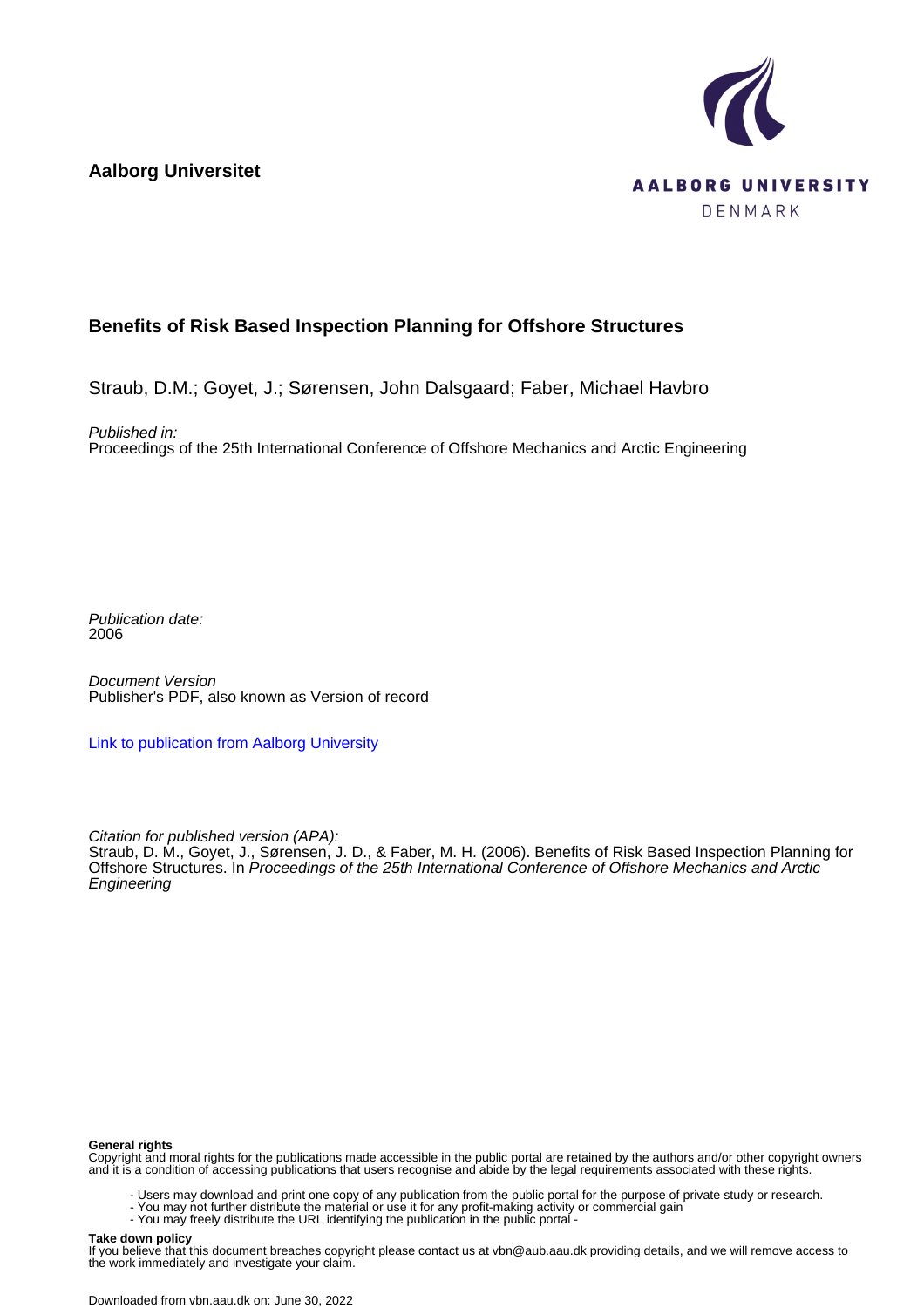**Aalborg Universitet**



## **Benefits of Risk Based Inspection Planning for Offshore Structures**

Straub, D.M.; Goyet, J.; Sørensen, John Dalsgaard; Faber, Michael Havbro

Published in:

Proceedings of the 25th International Conference of Offshore Mechanics and Arctic Engineering

Publication date: 2006

Document Version Publisher's PDF, also known as Version of record

[Link to publication from Aalborg University](https://vbn.aau.dk/en/publications/e627a130-a499-11db-8ed6-000ea68e967b)

Citation for published version (APA):

Straub, D. M., Goyet, J., Sørensen, J. D., & Faber, M. H. (2006). Benefits of Risk Based Inspection Planning for Offshore Structures. In Proceedings of the 25th International Conference of Offshore Mechanics and Arctic **Engineering** 

#### **General rights**

Copyright and moral rights for the publications made accessible in the public portal are retained by the authors and/or other copyright owners and it is a condition of accessing publications that users recognise and abide by the legal requirements associated with these rights.

- Users may download and print one copy of any publication from the public portal for the purpose of private study or research.
- You may not further distribute the material or use it for any profit-making activity or commercial gain
	- You may freely distribute the URL identifying the publication in the public portal -

#### **Take down policy**

If you believe that this document breaches copyright please contact us at vbn@aub.aau.dk providing details, and we will remove access to the work immediately and investigate your claim.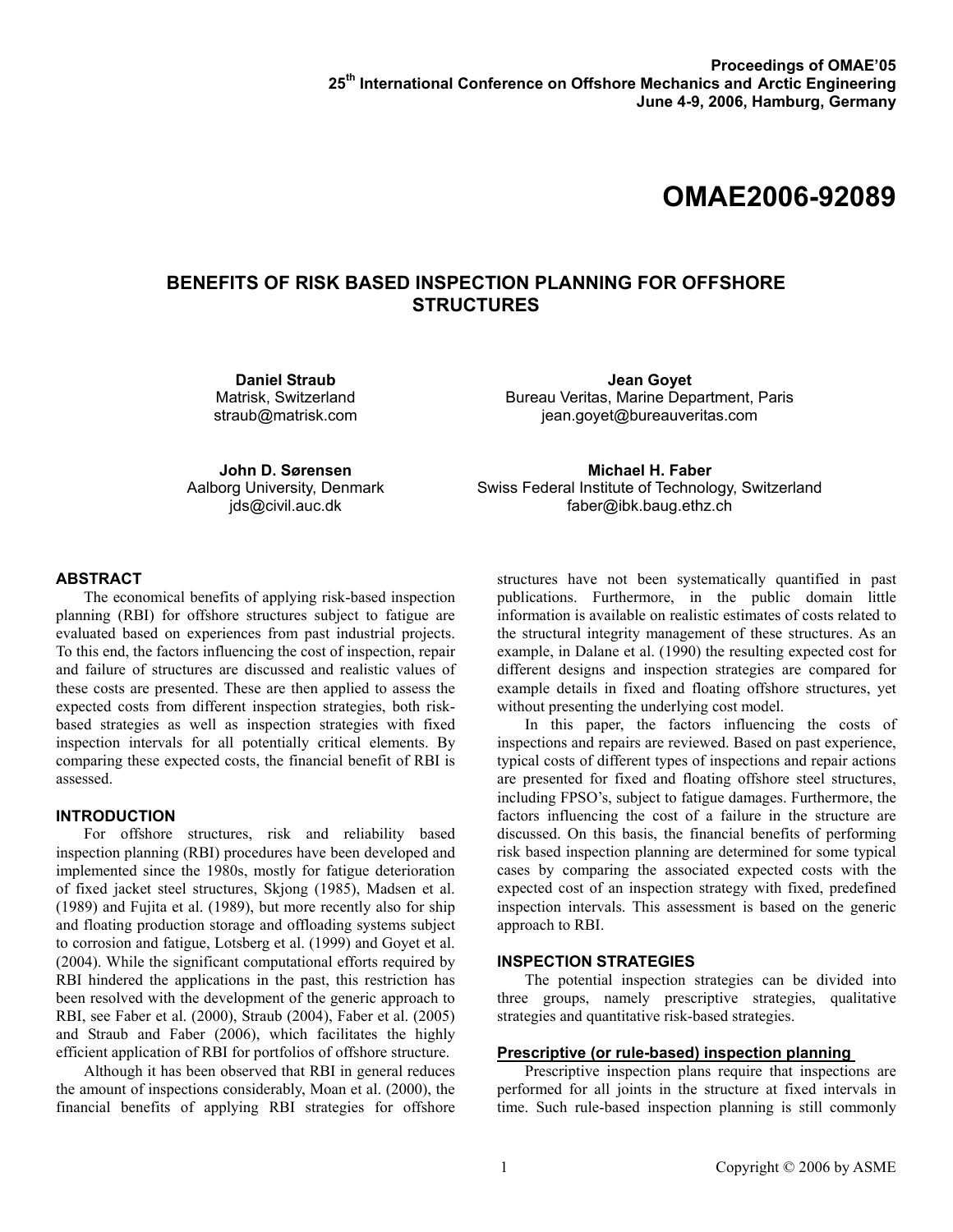# **OMAE2006-92089**

## **BENEFITS OF RISK BASED INSPECTION PLANNING FOR OFFSHORE STRUCTURES**

**Daniel Straub**  Matrisk, Switzerland straub@matrisk.com

**Jean Goyet**  Bureau Veritas, Marine Department, Paris jean.goyet@bureauveritas.com

**Michael H. Faber**  Swiss Federal Institute of Technology, Switzerland faber@ibk.baug.ethz.ch

**John D. Sørensen**  Aalborg University, Denmark jds@civil.auc.dk

## **ABSTRACT**

The economical benefits of applying risk-based inspection planning (RBI) for offshore structures subject to fatigue are evaluated based on experiences from past industrial projects. To this end, the factors influencing the cost of inspection, repair and failure of structures are discussed and realistic values of these costs are presented. These are then applied to assess the expected costs from different inspection strategies, both riskbased strategies as well as inspection strategies with fixed inspection intervals for all potentially critical elements. By comparing these expected costs, the financial benefit of RBI is assessed.

## **INTRODUCTION**

For offshore structures, risk and reliability based inspection planning (RBI) procedures have been developed and implemented since the 1980s, mostly for fatigue deterioration of fixed jacket steel structures, Skjong (1985), Madsen et al. (1989) and Fujita et al. (1989), but more recently also for ship and floating production storage and offloading systems subject to corrosion and fatigue, Lotsberg et al. (1999) and Goyet et al. (2004). While the significant computational efforts required by RBI hindered the applications in the past, this restriction has been resolved with the development of the generic approach to RBI, see Faber et al. (2000), Straub (2004), Faber et al. (2005) and Straub and Faber (2006), which facilitates the highly efficient application of RBI for portfolios of offshore structure.

Although it has been observed that RBI in general reduces the amount of inspections considerably, Moan et al. (2000), the financial benefits of applying RBI strategies for offshore structures have not been systematically quantified in past publications. Furthermore, in the public domain little information is available on realistic estimates of costs related to the structural integrity management of these structures. As an example, in Dalane et al. (1990) the resulting expected cost for different designs and inspection strategies are compared for example details in fixed and floating offshore structures, yet without presenting the underlying cost model.

In this paper, the factors influencing the costs of inspections and repairs are reviewed. Based on past experience, typical costs of different types of inspections and repair actions are presented for fixed and floating offshore steel structures, including FPSO's, subject to fatigue damages. Furthermore, the factors influencing the cost of a failure in the structure are discussed. On this basis, the financial benefits of performing risk based inspection planning are determined for some typical cases by comparing the associated expected costs with the expected cost of an inspection strategy with fixed, predefined inspection intervals. This assessment is based on the generic approach to RBI.

#### **INSPECTION STRATEGIES**

The potential inspection strategies can be divided into three groups, namely prescriptive strategies, qualitative strategies and quantitative risk-based strategies.

## **Prescriptive (or rule-based) inspection planning**

Prescriptive inspection plans require that inspections are performed for all joints in the structure at fixed intervals in time. Such rule-based inspection planning is still commonly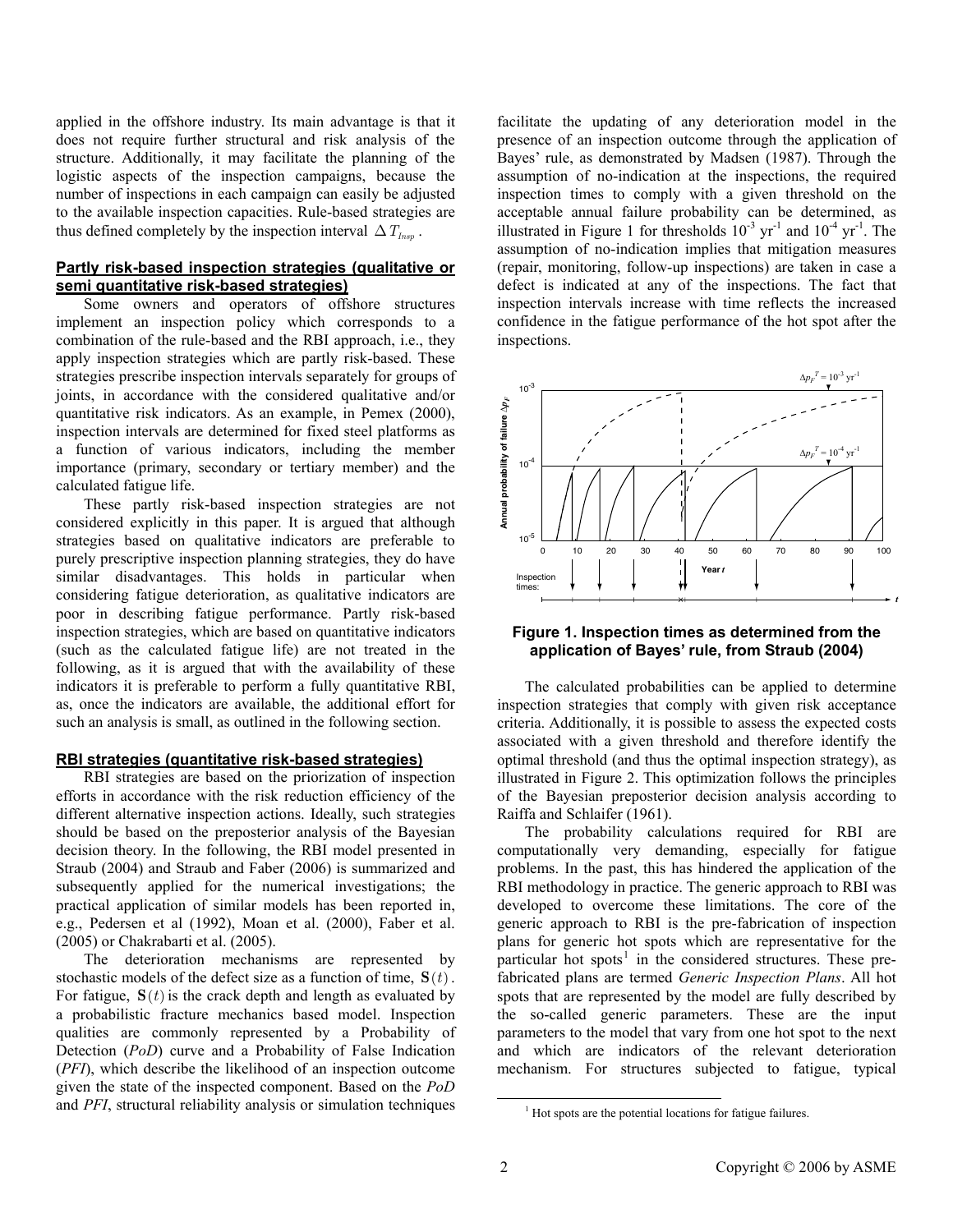applied in the offshore industry. Its main advantage is that it does not require further structural and risk analysis of the structure. Additionally, it may facilitate the planning of the logistic aspects of the inspection campaigns, because the number of inspections in each campaign can easily be adjusted to the available inspection capacities. Rule-based strategies are thus defined completely by the inspection interval  $\Delta T_{\text{I}}$ <sub>nsp</sub>.

## **Partly risk-based inspection strategies (qualitative or semi quantitative risk-based strategies)**

Some owners and operators of offshore structures implement an inspection policy which corresponds to a combination of the rule-based and the RBI approach, i.e., they apply inspection strategies which are partly risk-based. These strategies prescribe inspection intervals separately for groups of joints, in accordance with the considered qualitative and/or quantitative risk indicators. As an example, in Pemex (2000), inspection intervals are determined for fixed steel platforms as a function of various indicators, including the member importance (primary, secondary or tertiary member) and the calculated fatigue life.

<span id="page-2-0"></span>These partly risk-based inspection strategies are not considered explicitly in this paper. It is argued that although strategies based on qualitative indicators are preferable to purely prescriptive inspection planning strategies, they do have similar disadvantages. This holds in particular when considering fatigue deterioration, as qualitative indicators are poor in describing fatigue performance. Partly risk-based inspection strategies, which are based on quantitative indicators (such as the calculated fatigue life) are not treated in the following, as it is argued that with the availability of these indicators it is preferable to perform a fully quantitative RBI, as, once the indicators are available, the additional effort for such an analysis is small, as outlined in the following section.

#### **RBI strategies (quantitative risk-based strategies)**

RBI strategies are based on the priorization of inspection efforts in accordance with the risk reduction efficiency of the different alternative inspection actions. Ideally, such strategies should be based on the preposterior analysis of the Bayesian decision theory. In the following, the RBI model presented in Straub (2004) and Straub and Faber (2006) is summarized and subsequently applied for the numerical investigations; the practical application of similar models has been reported in, e.g., Pedersen et al (1992), Moan et al. (2000), Faber et al. (2005) or Chakrabarti et al. (2005).

<span id="page-2-1"></span>The deterioration mechanisms are represented by stochastic models of the defect size as a function of time, **S**(*t*). For fatigue,  $S(t)$  is the crack depth and length as evaluated by a probabilistic fracture mechanics based model. Inspection qualities are commonly represented by a Probability of Detection (*PoD*) curve and a Probability of False Indication (*PFI*), which describe the likelihood of an inspection outcome given the state of the inspected component. Based on the *PoD* and *PFI*, structural reliability analysis or simulation techniques

facilitate the updating of any deterioration model in the presence of an inspection outcome through the application of Bayes' rule, as demonstrated by Madsen (1987). Through the assumption of no-indication at the inspections, the required inspection times to comply with a given threshold on the acceptable annual failure probability can be determined, as illustrated in [Figure 1](#page-2-0) for thresholds  $10^{-3}$  yr<sup>-1</sup> and  $10^{-4}$  yr<sup>-1</sup>. The assumption of no-indication implies that mitigation measures (repair, monitoring, follow-up inspections) are taken in case a defect is indicated at any of the inspections. The fact that inspection intervals increase with time reflects the increased confidence in the fatigue performance of the hot spot after the inspections.



## **Figure 1. Inspection times as determined from the application of Bayes' rule, from Straub (2004)**

The calculated probabilities can be applied to determine inspection strategies that comply with given risk acceptance criteria. Additionally, it is possible to assess the expected costs associated with a given threshold and therefore identify the optimal threshold (and thus the optimal inspection strategy), as illustrated in [Figure 2.](#page-3-0) This optimization follows the principles of the Bayesian preposterior decision analysis according to Raiffa and Schlaifer (1961).

The probability calculations required for RBI are computationally very demanding, especially for fatigue problems. In the past, this has hindered the application of the RBI methodology in practice. The generic approach to RBI was developed to overcome these limitations. The core of the generic approach to RBI is the pre-fabrication of inspection plans for generic hot spots which are representative for the particular hot  $spots<sup>1</sup>$  $spots<sup>1</sup>$  $spots<sup>1</sup>$  in the considered structures. These prefabricated plans are termed *Generic Inspection Plans*. All hot spots that are represented by the model are fully described by the so-called generic parameters. These are the input parameters to the model that vary from one hot spot to the next and which are indicators of the relevant deterioration mechanism. For structures subjected to fatigue, typical

 $\overline{\phantom{a}}$  $<sup>1</sup>$  Hot spots are the potential locations for fatigue failures.</sup>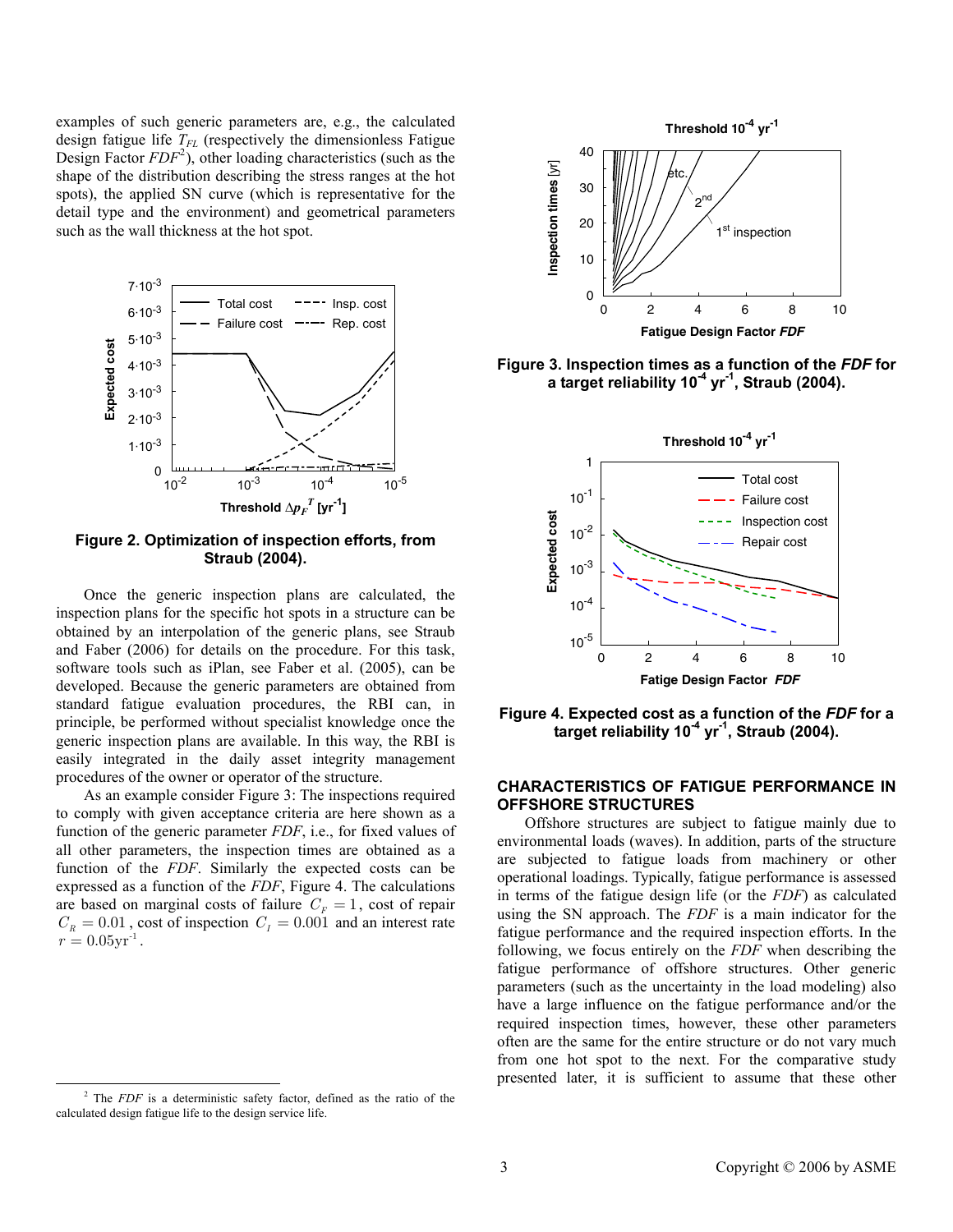examples of such generic parameters are, e.g., the calculated design fatigue life  $T_{FL}$  (respectively the dimensionless Fatigue Design Factor *FDF*<sup>[2](#page-3-1)</sup>), other loading characteristics (such as the shape of the distribution describing the stress ranges at the hot spots), the applied SN curve (which is representative for the detail type and the environment) and geometrical parameters such as the wall thickness at the hot spot.

<span id="page-3-2"></span>

<span id="page-3-0"></span>**Figure 2. Optimization of inspection efforts, from Straub (2004).** 

Once the generic inspection plans are calculated, the inspection plans for the specific hot spots in a structure can be obtained by an interpolation of the generic plans, see Straub and Faber (2006) for details on the procedure. For this task, software tools such as iPlan, see Faber et al. (2005), can be developed. Because the generic parameters are obtained from standard fatigue evaluation procedures, the RBI can, in principle, be performed without specialist knowledge once the generic inspection plans are available. In this way, the RBI is easily integrated in the daily asset integrity management procedures of the owner or operator of the structure.

<span id="page-3-3"></span>As an example consider [Figure 3](#page-3-2): The inspections required to comply with given acceptance criteria are here shown as a function of the generic parameter *FDF*, i.e., for fixed values of all other parameters, the inspection times are obtained as a function of the *FDF*. Similarly the expected costs can be expressed as a function of the *FDF*, [Figure 4.](#page-3-3) The calculations are based on marginal costs of failure  $C_F = 1$ , cost of repair  $C_R = 0.01$ , cost of inspection  $C_I = 0.001$  and an interest rate  $r = 0.05$ yr<sup>-1</sup>.  $r = 0.05$ yr<sup>-1</sup>.



**Figure 3. Inspection times as a function of the** *FDF* **for a target reliability 10-4 yr-1, Straub (2004).** 



**Figure 4. Expected cost as a function of the** *FDF* **for a target reliability 10-4 yr-1, Straub (2004).** 

## **CHARACTERISTICS OF FATIGUE PERFORMANCE IN OFFSHORE STRUCTURES**

Offshore structures are subject to fatigue mainly due to environmental loads (waves). In addition, parts of the structure are subjected to fatigue loads from machinery or other operational loadings. Typically, fatigue performance is assessed in terms of the fatigue design life (or the *FDF*) as calculated using the SN approach. The *FDF* is a main indicator for the fatigue performance and the required inspection efforts. In the following, we focus entirely on the *FDF* when describing the fatigue performance of offshore structures. Other generic parameters (such as the uncertainty in the load modeling) also have a large influence on the fatigue performance and/or the required inspection times, however, these other parameters often are the same for the entire structure or do not vary much from one hot spot to the next. For the comparative study presented later, it is sufficient to assume that these other

<span id="page-3-1"></span> <sup>2</sup> <sup>2</sup> The *FDF* is a deterministic safety factor, defined as the ratio of the calculated design fatigue life to the design service life.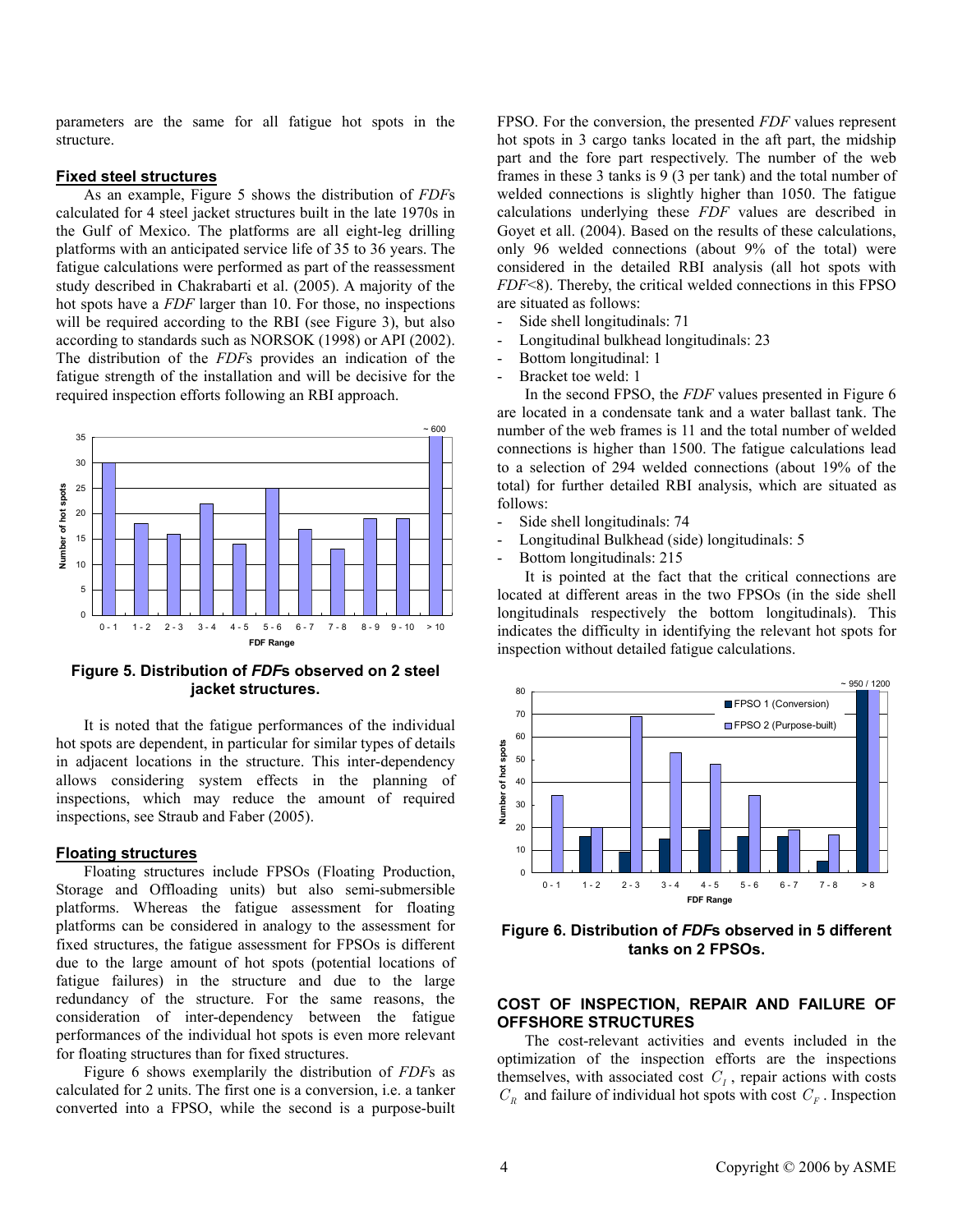parameters are the same for all fatigue hot spots in the structure.

#### **Fixed steel structures**

As an example, [Figure 5](#page-4-0) shows the distribution of *FDF*s calculated for 4 steel jacket structures built in the late 1970s in the Gulf of Mexico. The platforms are all eight-leg drilling platforms with an anticipated service life of 35 to 36 years. The fatigue calculations were performed as part of the reassessment study described in Chakrabarti et al. (2005). A majority of the hot spots have a *FDF* larger than 10. For those, no inspections will be required according to the RBI (see [Figure 3\)](#page-3-2), but also according to standards such as NORSOK (1998) or API (2002). The distribution of the *FDF*s provides an indication of the fatigue strength of the installation and will be decisive for the required inspection efforts following an RBI approach.



<span id="page-4-0"></span>**Figure 5. Distribution of** *FDF***s observed on 2 steel jacket structures.** 

It is noted that the fatigue performances of the individual hot spots are dependent, in particular for similar types of details in adjacent locations in the structure. This inter-dependency allows considering system effects in the planning of inspections, which may reduce the amount of required inspections, see Straub and Faber (2005).

#### **Floating structures**

<span id="page-4-1"></span>Floating structures include FPSOs (Floating Production, Storage and Offloading units) but also semi-submersible platforms. Whereas the fatigue assessment for floating platforms can be considered in analogy to the assessment for fixed structures, the fatigue assessment for FPSOs is different due to the large amount of hot spots (potential locations of fatigue failures) in the structure and due to the large redundancy of the structure. For the same reasons, the consideration of inter-dependency between the fatigue performances of the individual hot spots is even more relevant for floating structures than for fixed structures.

[Figure 6](#page-4-1) shows exemplarily the distribution of *FDF*s as calculated for 2 units. The first one is a conversion, i.e. a tanker converted into a FPSO, while the second is a purpose-built FPSO. For the conversion, the presented *FDF* values represent hot spots in 3 cargo tanks located in the aft part, the midship part and the fore part respectively. The number of the web frames in these 3 tanks is 9 (3 per tank) and the total number of welded connections is slightly higher than 1050. The fatigue calculations underlying these *FDF* values are described in Goyet et all. (2004). Based on the results of these calculations, only 96 welded connections (about 9% of the total) were considered in the detailed RBI analysis (all hot spots with *FDF*<8). Thereby, the critical welded connections in this FPSO are situated as follows:

- Side shell longitudinals: 71
- Longitudinal bulkhead longitudinals: 23
- Bottom longitudinal: 1
- Bracket toe weld: 1

In the second FPSO, the *FDF* values presented in [Figure 6](#page-4-1) are located in a condensate tank and a water ballast tank. The number of the web frames is 11 and the total number of welded connections is higher than 1500. The fatigue calculations lead to a selection of 294 welded connections (about 19% of the total) for further detailed RBI analysis, which are situated as follows:

- Side shell longitudinals: 74
- Longitudinal Bulkhead (side) longitudinals: 5
- Bottom longitudinals: 215

It is pointed at the fact that the critical connections are located at different areas in the two FPSOs (in the side shell longitudinals respectively the bottom longitudinals). This indicates the difficulty in identifying the relevant hot spots for inspection without detailed fatigue calculations.



**Figure 6. Distribution of** *FDF***s observed in 5 different tanks on 2 FPSOs.** 

## **COST OF INSPECTION, REPAIR AND FAILURE OF OFFSHORE STRUCTURES**

The cost-relevant activities and events included in the optimization of the inspection efforts are the inspections themselves, with associated cost  $C_I$ , repair actions with costs  $C_R$  and failure of individual hot spots with cost  $C_F$ . Inspection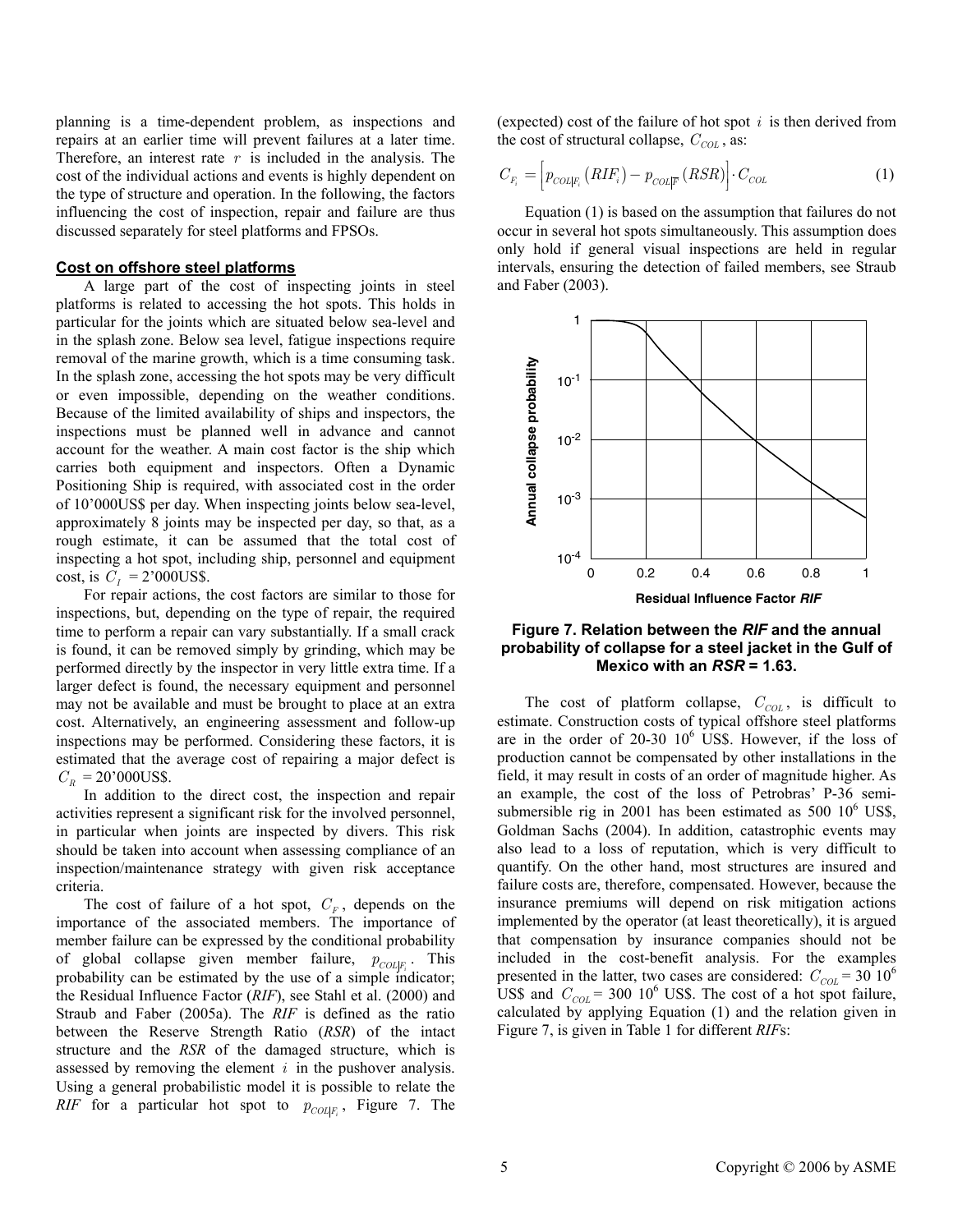<span id="page-5-1"></span>planning is a time-dependent problem, as inspections and repairs at an earlier time will prevent failures at a later time. Therefore, an interest rate *r* is included in the analysis. The cost of the individual actions and events is highly dependent on the type of structure and operation. In the following, the factors influencing the cost of inspection, repair and failure are thus discussed separately for steel platforms and FPSOs.

#### **Cost on offshore steel platforms**

A large part of the cost of inspecting joints in steel platforms is related to accessing the hot spots. This holds in particular for the joints which are situated below sea-level and in the splash zone. Below sea level, fatigue inspections require removal of the marine growth, which is a time consuming task. In the splash zone, accessing the hot spots may be very difficult or even impossible, depending on the weather conditions. Because of the limited availability of ships and inspectors, the inspections must be planned well in advance and cannot account for the weather. A main cost factor is the ship which carries both equipment and inspectors. Often a Dynamic Positioning Ship is required, with associated cost in the order of 10'000US\$ per day. When inspecting joints below sea-level, approximately 8 joints may be inspected per day, so that, as a rough estimate, it can be assumed that the total cost of inspecting a hot spot, including ship, personnel and equipment cost, is  $C_1 = 2'000 \text{US}\$ .

<span id="page-5-0"></span>For repair actions, the cost factors are similar to those for inspections, but, depending on the type of repair, the required time to perform a repair can vary substantially. If a small crack is found, it can be removed simply by grinding, which may be performed directly by the inspector in very little extra time. If a larger defect is found, the necessary equipment and personnel may not be available and must be brought to place at an extra cost. Alternatively, an engineering assessment and follow-up inspections may be performed. Considering these factors, it is estimated that the average cost of repairing a major defect is  $C_R = 20'0000$ US\$.

In addition to the direct cost, the inspection and repair activities represent a significant risk for the involved personnel, in particular when joints are inspected by divers. This risk should be taken into account when assessing compliance of an inspection/maintenance strategy with given risk acceptance criteria.

The cost of failure of a hot spot,  $C_F$ , depends on the importance of the associated members. The importance of member failure can be expressed by the conditional probability of global collapse given member failure,  $p_{\text{COL} | F_i}$ . This probability can be estimated by the use of a simple indicator; the Residual Influence Factor (*RIF*), see Stahl et al. (2000) and Straub and Faber (2005a). The *RIF* is defined as the ratio between the Reserve Strength Ratio (*RSR*) of the intact structure and the *RSR* of the damaged structure, which is assessed by removing the element  $i$  in the pushover analysis. Using a general probabilistic model it is possible to relate the *RIF* for a particular hot spot to  $p_{\text{COL} | F_i}$ , [Figure 7.](#page-5-0) The

(expected) cost of the failure of hot spot *i* is then derived from the cost of structural collapse,  $C_{\text{COL}}$ , as:

$$
C_{F_i} = \left[ p_{\text{COL}|F_i} \left( RIF_i \right) - p_{\text{COL}|F} \left( RSR \right) \right] \cdot C_{\text{COL}} \tag{1}
$$

Equation [\(1\)](#page-5-1) is based on the assumption that failures do not occur in several hot spots simultaneously. This assumption does only hold if general visual inspections are held in regular intervals, ensuring the detection of failed members, see Straub and Faber (2003).



**Figure 7. Relation between the** *RIF* **and the annual probability of collapse for a steel jacket in the Gulf of Mexico with an** *RSR* **= 1.63.** 

The cost of platform collapse,  $C_{COL}$ , is difficult to estimate. Construction costs of typical offshore steel platforms are in the order of  $20-30$   $10^6$  US\$. However, if the loss of production cannot be compensated by other installations in the field, it may result in costs of an order of magnitude higher. As an example, the cost of the loss of Petrobras' P-36 semisubmersible rig in 2001 has been estimated as  $500\;10^6$  US\$, Goldman Sachs (2004). In addition, catastrophic events may also lead to a loss of reputation, which is very difficult to quantify. On the other hand, most structures are insured and failure costs are, therefore, compensated. However, because the insurance premiums will depend on risk mitigation actions implemented by the operator (at least theoretically), it is argued that compensation by insurance companies should not be included in the cost-benefit analysis. For the examples presented in the latter, two cases are considered:  $C_{COL} = 30 \, 10^6$ US\$ and  $C_{COL}$  = 300 10<sup>6</sup> US\$. The cost of a hot spot failure, calculated by applying Equation [\(1\)](#page-5-1) and the relation given in [Figure 7](#page-5-0), is given in Table 1 for different *RIF*s: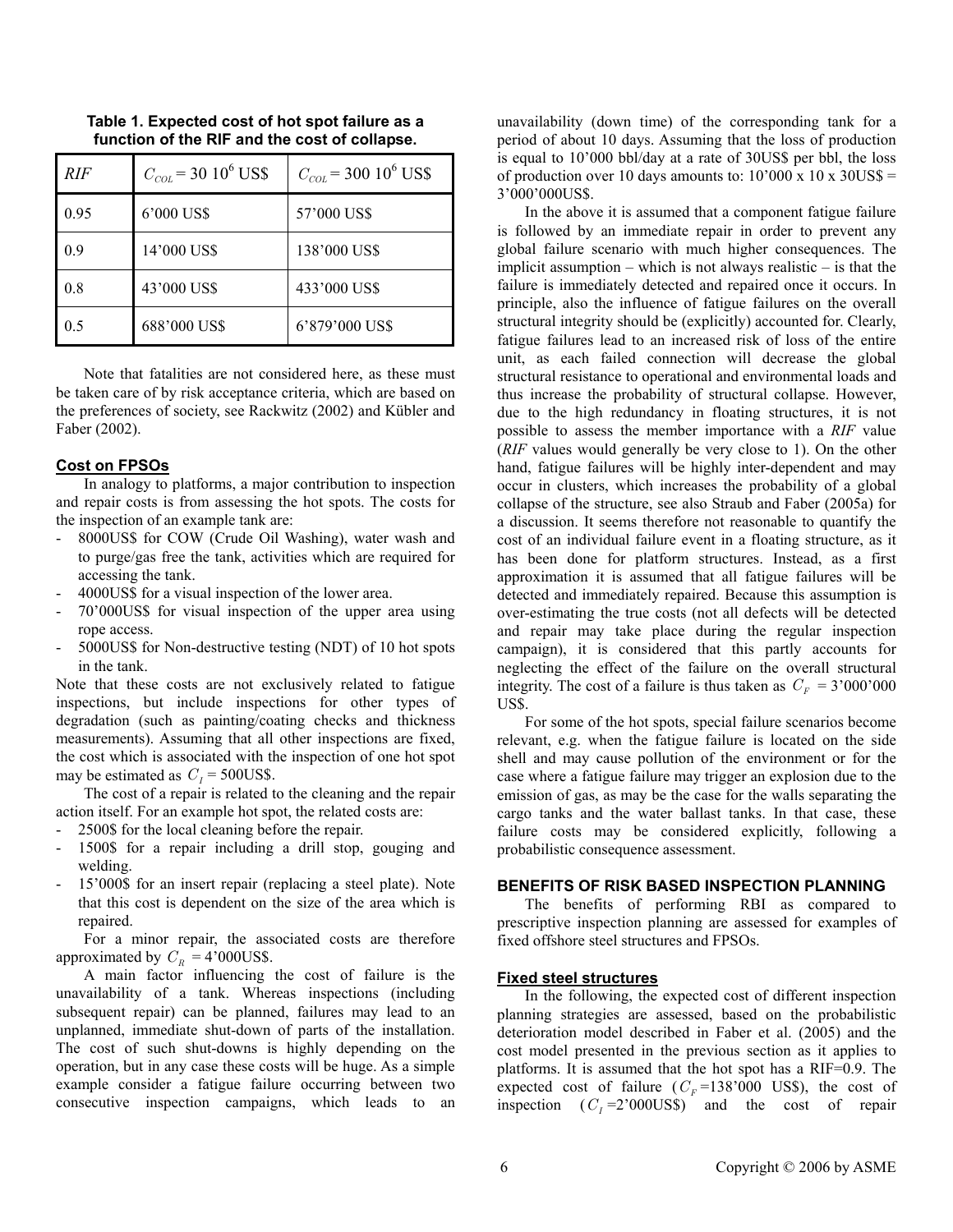| RIF  | $C_{\text{col}}$ = 30 10 <sup>6</sup> US\$ | $C_{\text{col}}$ = 300 10 <sup>6</sup> US\$ |
|------|--------------------------------------------|---------------------------------------------|
| 0.95 | 6'000 US\$                                 | 57'000 US\$                                 |
| 0.9  | 14'000 US\$                                | 138'000 US\$                                |
| 0.8  | 43'000 US\$                                | 433'000 US\$                                |
| 0.5  | 688'000 US\$                               | 6'879'000 US\$                              |

**Table 1. Expected cost of hot spot failure as a function of the RIF and the cost of collapse.** 

Note that fatalities are not considered here, as these must be taken care of by risk acceptance criteria, which are based on the preferences of society, see Rackwitz (2002) and Kübler and Faber (2002).

#### **Cost on FPSOs**

In analogy to platforms, a major contribution to inspection and repair costs is from assessing the hot spots. The costs for the inspection of an example tank are:

- 8000US\$ for COW (Crude Oil Washing), water wash and to purge/gas free the tank, activities which are required for accessing the tank.
- 4000US\$ for a visual inspection of the lower area.
- 70'000US\$ for visual inspection of the upper area using rope access.
- 5000US\$ for Non-destructive testing (NDT) of 10 hot spots in the tank.

Note that these costs are not exclusively related to fatigue inspections, but include inspections for other types of degradation (such as painting/coating checks and thickness measurements). Assuming that all other inspections are fixed, the cost which is associated with the inspection of one hot spot may be estimated as  $C<sub>I</sub> = 500US$ \$.

The cost of a repair is related to the cleaning and the repair action itself. For an example hot spot, the related costs are:

- 2500\$ for the local cleaning before the repair.
- 1500\$ for a repair including a drill stop, gouging and welding.
- 15'000\$ for an insert repair (replacing a steel plate). Note that this cost is dependent on the size of the area which is repaired.

For a minor repair, the associated costs are therefore approximated by  $C_R = 4'000USS$ .

A main factor influencing the cost of failure is the unavailability of a tank. Whereas inspections (including subsequent repair) can be planned, failures may lead to an unplanned, immediate shut-down of parts of the installation. The cost of such shut-downs is highly depending on the operation, but in any case these costs will be huge. As a simple example consider a fatigue failure occurring between two consecutive inspection campaigns, which leads to an

unavailability (down time) of the corresponding tank for a period of about 10 days. Assuming that the loss of production is equal to 10'000 bbl/day at a rate of 30US\$ per bbl, the loss of production over 10 days amounts to:  $10'000 \times 10 \times 30 \text{US} =$ 3'000'000US\$.

In the above it is assumed that a component fatigue failure is followed by an immediate repair in order to prevent any global failure scenario with much higher consequences. The implicit assumption – which is not always realistic – is that the failure is immediately detected and repaired once it occurs. In principle, also the influence of fatigue failures on the overall structural integrity should be (explicitly) accounted for. Clearly, fatigue failures lead to an increased risk of loss of the entire unit, as each failed connection will decrease the global structural resistance to operational and environmental loads and thus increase the probability of structural collapse. However, due to the high redundancy in floating structures, it is not possible to assess the member importance with a *RIF* value (*RIF* values would generally be very close to 1). On the other hand, fatigue failures will be highly inter-dependent and may occur in clusters, which increases the probability of a global collapse of the structure, see also Straub and Faber (2005a) for a discussion. It seems therefore not reasonable to quantify the cost of an individual failure event in a floating structure, as it has been done for platform structures. Instead, as a first approximation it is assumed that all fatigue failures will be detected and immediately repaired. Because this assumption is over-estimating the true costs (not all defects will be detected and repair may take place during the regular inspection campaign), it is considered that this partly accounts for neglecting the effect of the failure on the overall structural integrity. The cost of a failure is thus taken as  $C_F = 3'000'000$ US\$.

For some of the hot spots, special failure scenarios become relevant, e.g. when the fatigue failure is located on the side shell and may cause pollution of the environment or for the case where a fatigue failure may trigger an explosion due to the emission of gas, as may be the case for the walls separating the cargo tanks and the water ballast tanks. In that case, these failure costs may be considered explicitly, following a probabilistic consequence assessment.

### **BENEFITS OF RISK BASED INSPECTION PLANNING**

The benefits of performing RBI as compared to prescriptive inspection planning are assessed for examples of fixed offshore steel structures and FPSOs.

#### **Fixed steel structures**

In the following, the expected cost of different inspection planning strategies are assessed, based on the probabilistic deterioration model described in Faber et al. (2005) and the cost model presented in the previous section as it applies to platforms. It is assumed that the hot spot has a RIF=0.9. The expected cost of failure  $(C_F = 138'000 \text{ USS})$ , the cost of inspection  $(C_I = 2'000 \text{US})$  and the cost of repair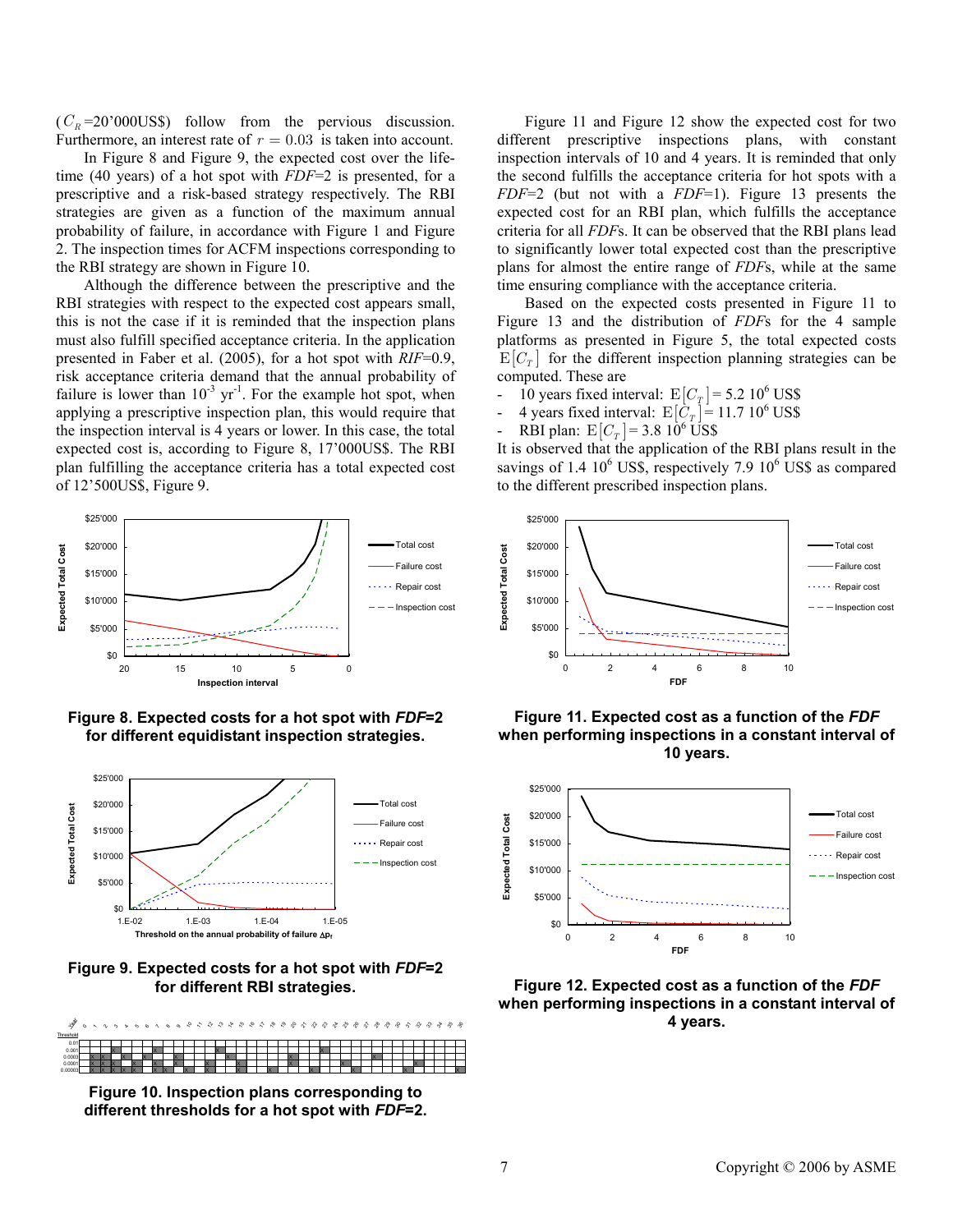$(C<sub>n</sub>=20'000US\$  follow from the pervious discussion. Furthermore, an interest rate of  $r = 0.03$  is taken into account.

In [Figure 8](#page-7-0) and [Figure 9,](#page-7-1) the expected cost over the lifetime (40 years) of a hot spot with *FDF*=2 is presented, for a prescriptive and a risk-based strategy respectively. The RBI strategies are given as a function of the maximum annual probability of failure, in accordance with [Figure 1](#page-2-0) and [Figure](#page-3-0)  [2](#page-3-0). The inspection times for ACFM inspections corresponding to the RBI strategy are shown in [Figure 10.](#page-7-2)

Although the difference between the prescriptive and the RBI strategies with respect to the expected cost appears small, this is not the case if it is reminded that the inspection plans must also fulfill specified acceptance criteria. In the application presented in Faber et al. (2005), for a hot spot with *RIF*=0.9, risk acceptance criteria demand that the annual probability of failure is lower than  $10^{-3}$  yr<sup>-1</sup>. For the example hot spot, when applying a prescriptive inspection plan, this would require that the inspection interval is 4 years or lower. In this case, the total expected cost is, according to [Figure 8,](#page-7-0) 17'000US\$. The RBI plan fulfilling the acceptance criteria has a total expected cost of 12'500US\$, [Figure 9](#page-7-1).



<span id="page-7-3"></span><span id="page-7-0"></span>**Figure 8. Expected costs for a hot spot with** *FDF***=2 for different equidistant inspection strategies.** 



<span id="page-7-4"></span><span id="page-7-1"></span>**Figure 9. Expected costs for a hot spot with** *FDF***=2 for different RBI strategies.** 

| Threshold |  |  |  |  |  |  |    |  |  |  |   |  |   |  |  |  |  |  |  |  |
|-----------|--|--|--|--|--|--|----|--|--|--|---|--|---|--|--|--|--|--|--|--|
| 0.01      |  |  |  |  |  |  |    |  |  |  |   |  |   |  |  |  |  |  |  |  |
| 0.001     |  |  |  |  |  |  | Ιx |  |  |  |   |  | × |  |  |  |  |  |  |  |
| 0.0003    |  |  |  |  |  |  |    |  |  |  |   |  |   |  |  |  |  |  |  |  |
| 0.0001    |  |  |  |  |  |  |    |  |  |  | ь |  |   |  |  |  |  |  |  |  |
|           |  |  |  |  |  |  |    |  |  |  |   |  |   |  |  |  |  |  |  |  |

<span id="page-7-2"></span>**Figure 10. Inspection plans corresponding to different thresholds for a hot spot with** *FDF***=2.** 

[Figure 11](#page-7-3) and [Figure 12](#page-7-4) show the expected cost for two different prescriptive inspections plans, with constant inspection intervals of 10 and 4 years. It is reminded that only the second fulfills the acceptance criteria for hot spots with a *FDF*=2 (but not with a *FDF*=1). [Figure 13](#page-8-0) presents the expected cost for an RBI plan, which fulfills the acceptance criteria for all *FDF*s. It can be observed that the RBI plans lead to significantly lower total expected cost than the prescriptive plans for almost the entire range of *FDF*s, while at the same time ensuring compliance with the acceptance criteria.

Based on the expected costs presented in [Figure 11](#page-7-3) to [Figure 13](#page-8-0) and the distribution of *FDF*s for the 4 sample platforms as presented in [Figure 5](#page-4-0), the total expected costs  $E[C_T]$  for the different inspection planning strategies can be computed. These are

- 10 years fixed interval:  $E[C_T] = 5.2 10^6$  US\$
- 4 years fixed interval:  $E[\dot{C}_T] = 11.7 10^6 \text{ US}\$$
- RBI plan:  $E[C_T] = 3.8 \, 10^6 \, \text{USS}$

It is observed that the application of the RBI plans result in the savings of 1.4  $10^6$  US\$, respectively 7.9  $10^6$  US\$ as compared to the different prescribed inspection plans.



**Figure 11. Expected cost as a function of the** *FDF* **when performing inspections in a constant interval of 10 years.** 



**Figure 12. Expected cost as a function of the** *FDF* **when performing inspections in a constant interval of 4 years.**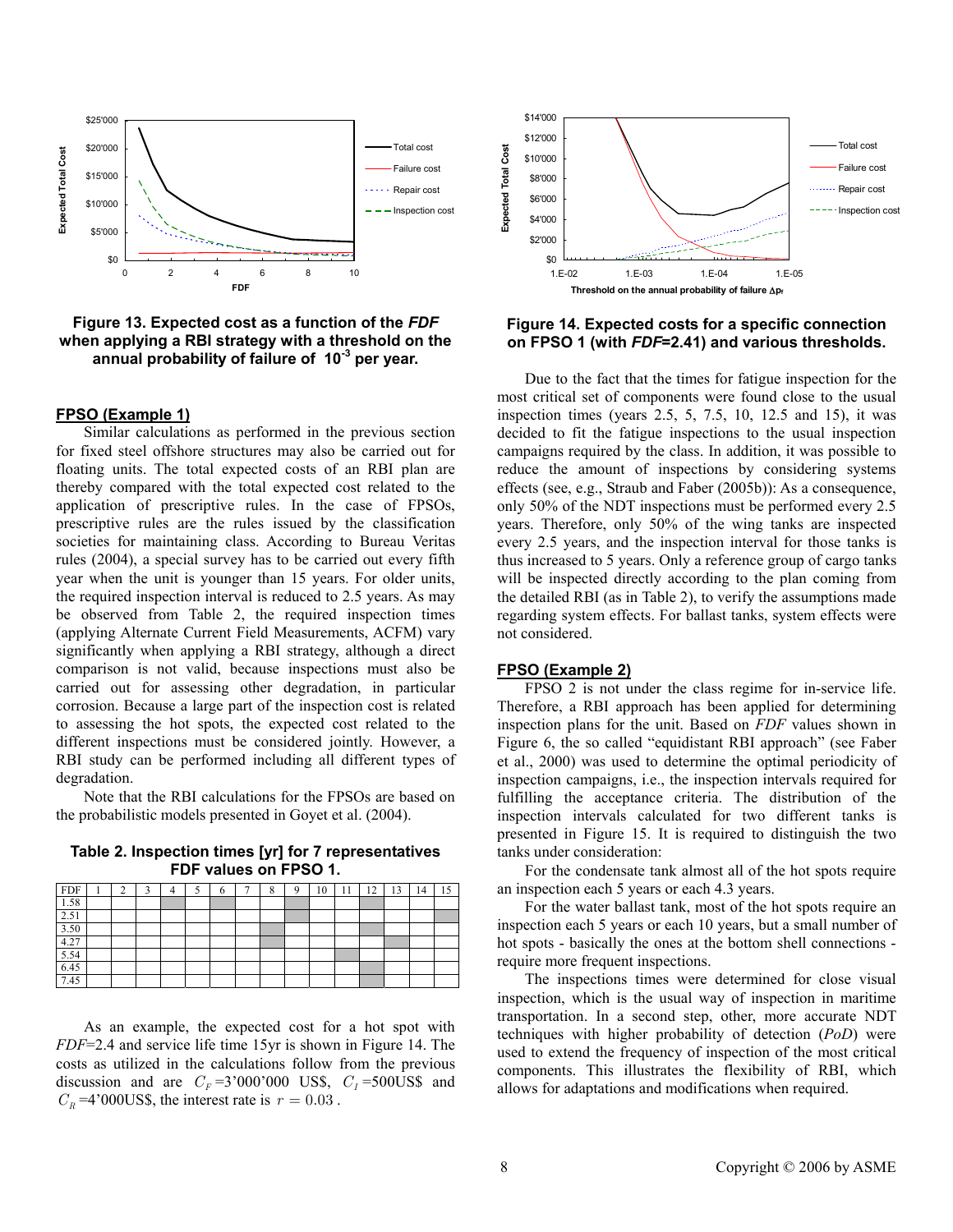

<span id="page-8-0"></span>**Figure 13. Expected cost as a function of the** *FDF* **when applying a RBI strategy with a threshold on the annual probability of failure of 10-3 per year.** 

#### **FPSO (Example 1)**

Similar calculations as performed in the previous section for fixed steel offshore structures may also be carried out for floating units. The total expected costs of an RBI plan are thereby compared with the total expected cost related to the application of prescriptive rules. In the case of FPSOs, prescriptive rules are the rules issued by the classification societies for maintaining class. According to Bureau Veritas rules (2004), a special survey has to be carried out every fifth year when the unit is younger than 15 years. For older units, the required inspection interval is reduced to 2.5 years. As may be observed from [Table 2](#page-8-1), the required inspection times (applying Alternate Current Field Measurements, ACFM) vary significantly when applying a RBI strategy, although a direct comparison is not valid, because inspections must also be carried out for assessing other degradation, in particular corrosion. Because a large part of the inspection cost is related to assessing the hot spots, the expected cost related to the different inspections must be considered jointly. However, a RBI study can be performed including all different types of degradation.

Note that the RBI calculations for the FPSOs are based on the probabilistic models presented in Goyet et al. (2004).

<span id="page-8-1"></span>**Table 2. Inspection times [yr] for 7 representatives FDF values on FPSO 1.** 

| <b>FDF</b>                                                  | ◠ |  | 0 | Ô | $\Omega$ | 10 | 11 | 12 | $\rightarrow$<br>13 | 14 | 15 |
|-------------------------------------------------------------|---|--|---|---|----------|----|----|----|---------------------|----|----|
| 1.58                                                        |   |  |   |   |          |    |    |    |                     |    |    |
| 2.51                                                        |   |  |   |   |          |    |    |    |                     |    |    |
|                                                             |   |  |   |   |          |    |    |    |                     |    |    |
|                                                             |   |  |   |   |          |    |    |    |                     |    |    |
|                                                             |   |  |   |   |          |    |    |    |                     |    |    |
| $\frac{3.50}{3.50}$ $\frac{4.27}{5.54}$ $\frac{6.45}{7.45}$ |   |  |   |   |          |    |    |    |                     |    |    |
|                                                             |   |  |   |   |          |    |    |    |                     |    |    |

As an example, the expected cost for a hot spot with *FDF*=2.4 and service life time 15yr is shown in [Figure 14.](#page-8-0) The costs as utilized in the calculations follow from the previous discussion and are  $C_F = 3'000'000$  US\$,  $C_I = 500USS$  and  $C_R$  =4'000US\$, the interest rate is  $r = 0.03$ .



**Figure 14. Expected costs for a specific connection on FPSO 1 (with** *FDF***=2.41) and various thresholds.** 

Due to the fact that the times for fatigue inspection for the most critical set of components were found close to the usual inspection times (years 2.5, 5, 7.5, 10, 12.5 and 15), it was decided to fit the fatigue inspections to the usual inspection campaigns required by the class. In addition, it was possible to reduce the amount of inspections by considering systems effects (see, e.g., Straub and Faber (2005b)): As a consequence, only 50% of the NDT inspections must be performed every 2.5 years. Therefore, only 50% of the wing tanks are inspected every 2.5 years, and the inspection interval for those tanks is thus increased to 5 years. Only a reference group of cargo tanks will be inspected directly according to the plan coming from the detailed RBI (as in [Table 2](#page-8-1)), to verify the assumptions made regarding system effects. For ballast tanks, system effects were not considered.

#### **FPSO (Example 2)**

FPSO 2 is not under the class regime for in-service life. Therefore, a RBI approach has been applied for determining inspection plans for the unit. Based on *FDF* values shown in [Figure 6](#page-4-1), the so called "equidistant RBI approach" (see Faber et al., 2000) was used to determine the optimal periodicity of inspection campaigns, i.e., the inspection intervals required for fulfilling the acceptance criteria. The distribution of the inspection intervals calculated for two different tanks is presented in [Figure 15.](#page-9-0) It is required to distinguish the two tanks under consideration:

For the condensate tank almost all of the hot spots require an inspection each 5 years or each 4.3 years.

For the water ballast tank, most of the hot spots require an inspection each 5 years or each 10 years, but a small number of hot spots - basically the ones at the bottom shell connections require more frequent inspections.

The inspections times were determined for close visual inspection, which is the usual way of inspection in maritime transportation. In a second step, other, more accurate NDT techniques with higher probability of detection (*PoD*) were used to extend the frequency of inspection of the most critical components. This illustrates the flexibility of RBI, which allows for adaptations and modifications when required.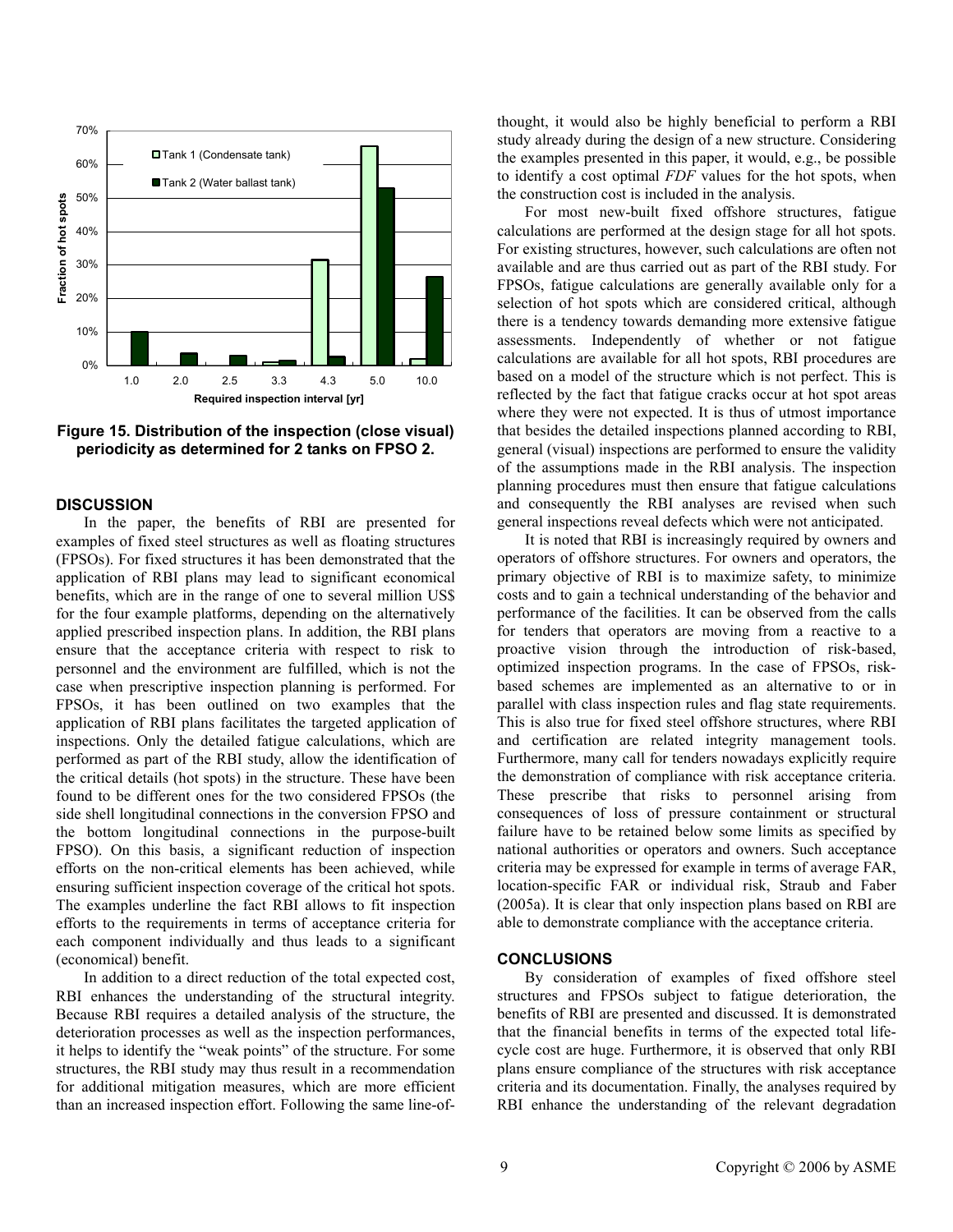

<span id="page-9-0"></span>**Figure 15. Distribution of the inspection (close visual) periodicity as determined for 2 tanks on FPSO 2.** 

## **DISCUSSION**

In the paper, the benefits of RBI are presented for examples of fixed steel structures as well as floating structures (FPSOs). For fixed structures it has been demonstrated that the application of RBI plans may lead to significant economical benefits, which are in the range of one to several million US\$ for the four example platforms, depending on the alternatively applied prescribed inspection plans. In addition, the RBI plans ensure that the acceptance criteria with respect to risk to personnel and the environment are fulfilled, which is not the case when prescriptive inspection planning is performed. For FPSOs, it has been outlined on two examples that the application of RBI plans facilitates the targeted application of inspections. Only the detailed fatigue calculations, which are performed as part of the RBI study, allow the identification of the critical details (hot spots) in the structure. These have been found to be different ones for the two considered FPSOs (the side shell longitudinal connections in the conversion FPSO and the bottom longitudinal connections in the purpose-built FPSO). On this basis, a significant reduction of inspection efforts on the non-critical elements has been achieved, while ensuring sufficient inspection coverage of the critical hot spots. The examples underline the fact RBI allows to fit inspection efforts to the requirements in terms of acceptance criteria for each component individually and thus leads to a significant (economical) benefit.

In addition to a direct reduction of the total expected cost, RBI enhances the understanding of the structural integrity. Because RBI requires a detailed analysis of the structure, the deterioration processes as well as the inspection performances, it helps to identify the "weak points" of the structure. For some structures, the RBI study may thus result in a recommendation for additional mitigation measures, which are more efficient than an increased inspection effort. Following the same line-ofthought, it would also be highly beneficial to perform a RBI study already during the design of a new structure. Considering the examples presented in this paper, it would, e.g., be possible to identify a cost optimal *FDF* values for the hot spots, when the construction cost is included in the analysis.

For most new-built fixed offshore structures, fatigue calculations are performed at the design stage for all hot spots. For existing structures, however, such calculations are often not available and are thus carried out as part of the RBI study. For FPSOs, fatigue calculations are generally available only for a selection of hot spots which are considered critical, although there is a tendency towards demanding more extensive fatigue assessments. Independently of whether or not fatigue calculations are available for all hot spots, RBI procedures are based on a model of the structure which is not perfect. This is reflected by the fact that fatigue cracks occur at hot spot areas where they were not expected. It is thus of utmost importance that besides the detailed inspections planned according to RBI, general (visual) inspections are performed to ensure the validity of the assumptions made in the RBI analysis. The inspection planning procedures must then ensure that fatigue calculations and consequently the RBI analyses are revised when such general inspections reveal defects which were not anticipated.

It is noted that RBI is increasingly required by owners and operators of offshore structures. For owners and operators, the primary objective of RBI is to maximize safety, to minimize costs and to gain a technical understanding of the behavior and performance of the facilities. It can be observed from the calls for tenders that operators are moving from a reactive to a proactive vision through the introduction of risk-based, optimized inspection programs. In the case of FPSOs, riskbased schemes are implemented as an alternative to or in parallel with class inspection rules and flag state requirements. This is also true for fixed steel offshore structures, where RBI and certification are related integrity management tools. Furthermore, many call for tenders nowadays explicitly require the demonstration of compliance with risk acceptance criteria. These prescribe that risks to personnel arising from consequences of loss of pressure containment or structural failure have to be retained below some limits as specified by national authorities or operators and owners. Such acceptance criteria may be expressed for example in terms of average FAR, location-specific FAR or individual risk, Straub and Faber (2005a). It is clear that only inspection plans based on RBI are able to demonstrate compliance with the acceptance criteria.

## **CONCLUSIONS**

By consideration of examples of fixed offshore steel structures and FPSOs subject to fatigue deterioration, the benefits of RBI are presented and discussed. It is demonstrated that the financial benefits in terms of the expected total lifecycle cost are huge. Furthermore, it is observed that only RBI plans ensure compliance of the structures with risk acceptance criteria and its documentation. Finally, the analyses required by RBI enhance the understanding of the relevant degradation